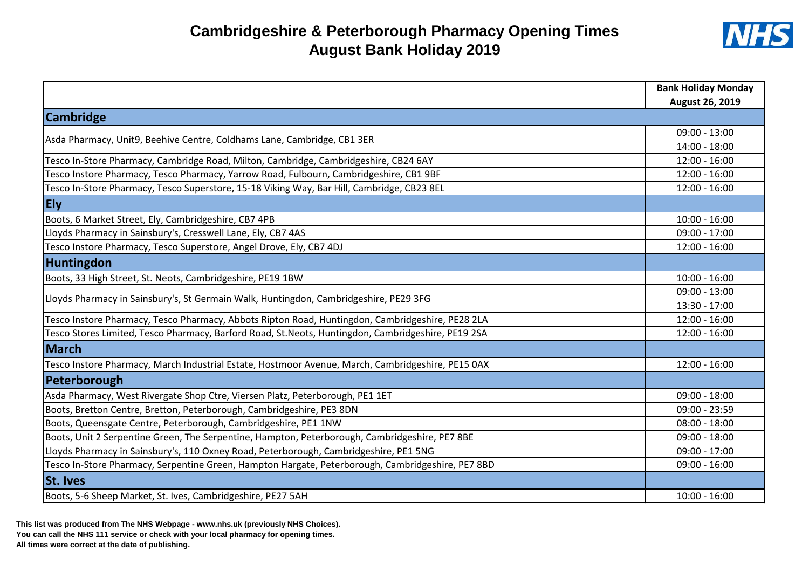## **Cambridgeshire & Peterborough Pharmacy Opening Times August Bank Holiday 2019**



|                                                                                                    | <b>Bank Holiday Monday</b> |
|----------------------------------------------------------------------------------------------------|----------------------------|
|                                                                                                    | August 26, 2019            |
| <b>Cambridge</b>                                                                                   |                            |
| Asda Pharmacy, Unit9, Beehive Centre, Coldhams Lane, Cambridge, CB1 3ER                            | $09:00 - 13:00$            |
|                                                                                                    | $14:00 - 18:00$            |
| Tesco In-Store Pharmacy, Cambridge Road, Milton, Cambridge, Cambridgeshire, CB24 6AY               | $12:00 - 16:00$            |
| Tesco Instore Pharmacy, Tesco Pharmacy, Yarrow Road, Fulbourn, Cambridgeshire, CB1 9BF             | $12:00 - 16:00$            |
| Tesco In-Store Pharmacy, Tesco Superstore, 15-18 Viking Way, Bar Hill, Cambridge, CB23 8EL         | $12:00 - 16:00$            |
| <b>Ely</b>                                                                                         |                            |
| Boots, 6 Market Street, Ely, Cambridgeshire, CB7 4PB                                               | $10:00 - 16:00$            |
| Lloyds Pharmacy in Sainsbury's, Cresswell Lane, Ely, CB7 4AS                                       | $09:00 - 17:00$            |
| Tesco Instore Pharmacy, Tesco Superstore, Angel Drove, Ely, CB7 4DJ                                | $12:00 - 16:00$            |
| Huntingdon                                                                                         |                            |
| Boots, 33 High Street, St. Neots, Cambridgeshire, PE19 1BW                                         | $10:00 - 16:00$            |
| Lloyds Pharmacy in Sainsbury's, St Germain Walk, Huntingdon, Cambridgeshire, PE29 3FG              | $09:00 - 13:00$            |
|                                                                                                    | 13:30 - 17:00              |
| Tesco Instore Pharmacy, Tesco Pharmacy, Abbots Ripton Road, Huntingdon, Cambridgeshire, PE28 2LA   | $12:00 - 16:00$            |
| Tesco Stores Limited, Tesco Pharmacy, Barford Road, St.Neots, Huntingdon, Cambridgeshire, PE19 2SA | $12:00 - 16:00$            |
| <b>March</b>                                                                                       |                            |
| Tesco Instore Pharmacy, March Industrial Estate, Hostmoor Avenue, March, Cambridgeshire, PE15 0AX  | $12:00 - 16:00$            |
| Peterborough                                                                                       |                            |
| Asda Pharmacy, West Rivergate Shop Ctre, Viersen Platz, Peterborough, PE1 1ET                      | $09:00 - 18:00$            |
| Boots, Bretton Centre, Bretton, Peterborough, Cambridgeshire, PE3 8DN                              | $09:00 - 23:59$            |
| Boots, Queensgate Centre, Peterborough, Cambridgeshire, PE1 1NW                                    | $08:00 - 18:00$            |
| Boots, Unit 2 Serpentine Green, The Serpentine, Hampton, Peterborough, Cambridgeshire, PE7 8BE     | $09:00 - 18:00$            |
| Lloyds Pharmacy in Sainsbury's, 110 Oxney Road, Peterborough, Cambridgeshire, PE1 5NG              | $09:00 - 17:00$            |
| Tesco In-Store Pharmacy, Serpentine Green, Hampton Hargate, Peterborough, Cambridgeshire, PE7 8BD  | $09:00 - 16:00$            |
| <b>St. Ives</b>                                                                                    |                            |
| Boots, 5-6 Sheep Market, St. Ives, Cambridgeshire, PE27 5AH                                        | $10:00 - 16:00$            |

**This list was produced from The NHS Webpage - www.nhs.uk (previously NHS Choices). You can call the NHS 111 service or check with your local pharmacy for opening times. All times were correct at the date of publishing.**